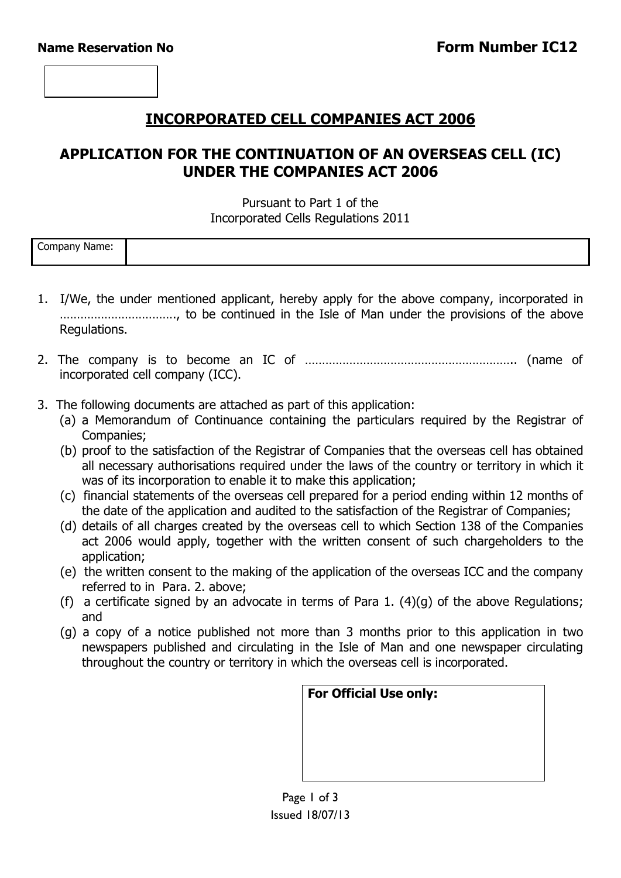## **INCORPORATED CELL COMPANIES ACT 2006**

## **APPLICATION FOR THE CONTINUATION OF AN OVERSEAS CELL (IC) UNDER THE COMPANIES ACT 2006**

### Pursuant to Part 1 of the Incorporated Cells Regulations 2011

| -<br>Company<br>Name: |  |
|-----------------------|--|
|                       |  |

- 1. I/We, the under mentioned applicant, hereby apply for the above company, incorporated in ……………………………., to be continued in the Isle of Man under the provisions of the above Regulations.
- 2. The company is to become an IC of …………………………………………………….. (name of incorporated cell company (ICC).
- 3. The following documents are attached as part of this application:
	- (a) a Memorandum of Continuance containing the particulars required by the Registrar of Companies;
	- (b) proof to the satisfaction of the Registrar of Companies that the overseas cell has obtained all necessary authorisations required under the laws of the country or territory in which it was of its incorporation to enable it to make this application;
	- (c) financial statements of the overseas cell prepared for a period ending within 12 months of the date of the application and audited to the satisfaction of the Registrar of Companies;
	- (d) details of all charges created by the overseas cell to which Section 138 of the Companies act 2006 would apply, together with the written consent of such chargeholders to the application;
	- (e) the written consent to the making of the application of the overseas ICC and the company referred to in Para. 2. above;
	- (f) a certificate signed by an advocate in terms of Para 1.  $(4)(q)$  of the above Regulations; and
	- (g) a copy of a notice published not more than 3 months prior to this application in two newspapers published and circulating in the Isle of Man and one newspaper circulating throughout the country or territory in which the overseas cell is incorporated.

| <b>For Official Use only:</b> |  |  |  |  |
|-------------------------------|--|--|--|--|
|                               |  |  |  |  |
|                               |  |  |  |  |
|                               |  |  |  |  |
|                               |  |  |  |  |
|                               |  |  |  |  |
|                               |  |  |  |  |
|                               |  |  |  |  |
|                               |  |  |  |  |
|                               |  |  |  |  |

Page 1 of 3 Issued 18/07/13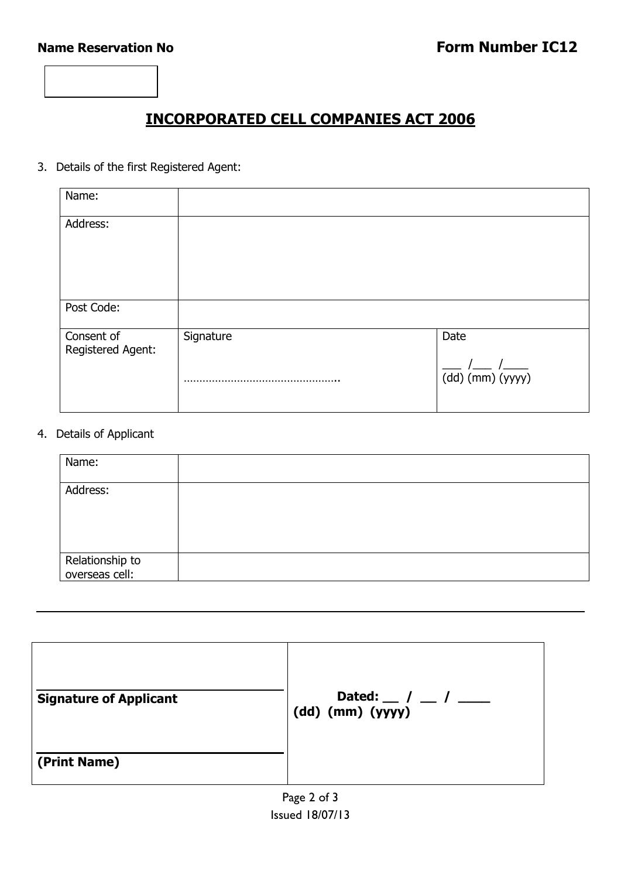

### 3. Details of the first Registered Agent:

| Name:                           |           |                              |
|---------------------------------|-----------|------------------------------|
| Address:                        |           |                              |
| Post Code:                      |           |                              |
| Consent of<br>Registered Agent: | Signature | Date<br>$(dd)$ (mm) $(yyyy)$ |

### 4. Details of Applicant

| Name:                             |  |
|-----------------------------------|--|
| Address:                          |  |
| Relationship to<br>overseas cell: |  |

| <b>Signature of Applicant</b> | Dated: $\frac{1}{2}$ / $\frac{1}{2}$<br>$(dd)$ (mm) $(yyyy)$ |
|-------------------------------|--------------------------------------------------------------|
| (Print Name)                  |                                                              |